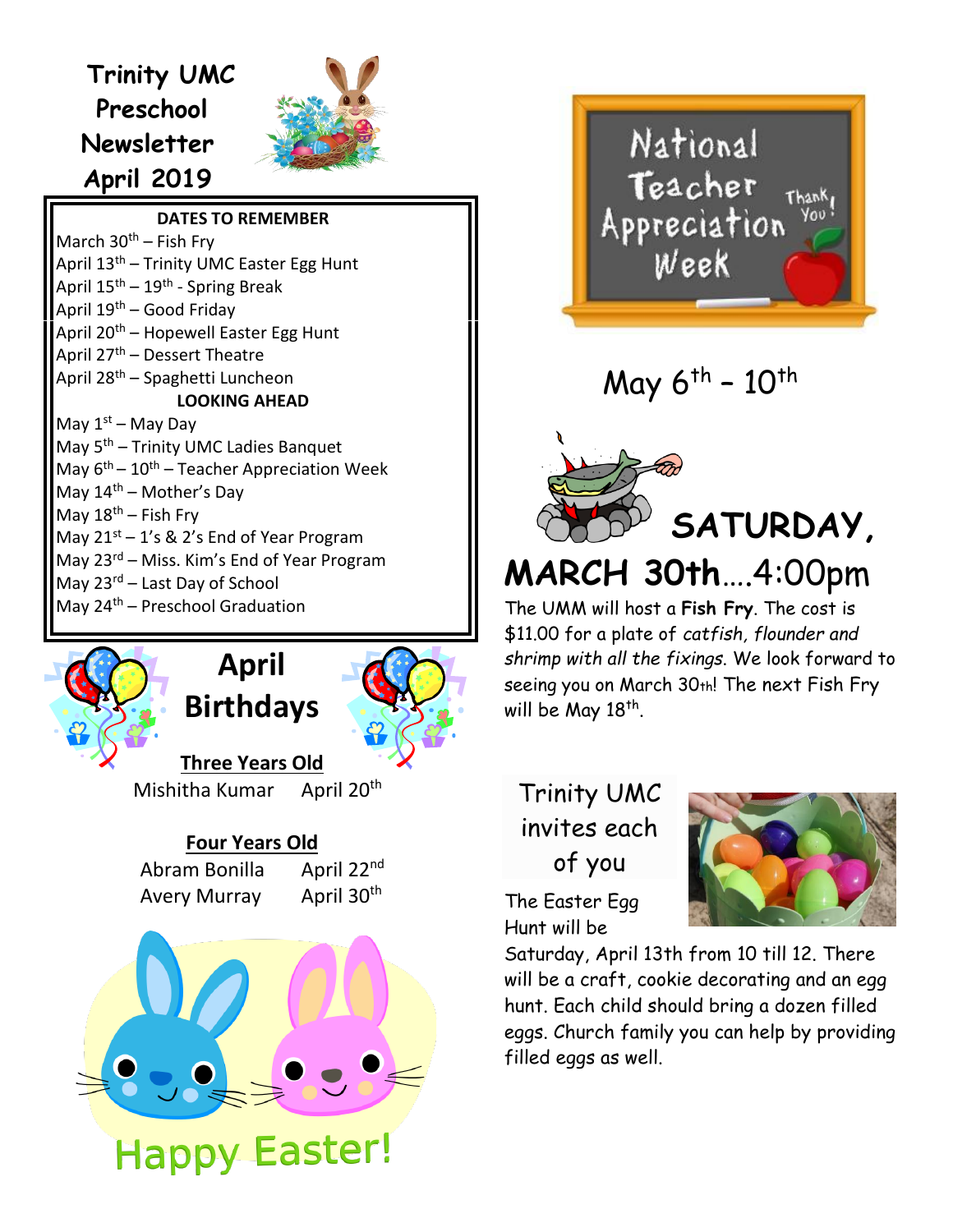## **Trinity UMC Preschool Newsletter April 2019**



**DATES TO RE[MEMBE](https://creativecommons.org/licenses/by-nc/3.0/)R**

March  $30<sup>th</sup>$  – Fish Frv April 13<sup>th</sup> – Trinity UMC Easter Egg Hunt April 15<sup>th</sup> – 19<sup>th</sup> - Spring Break April  $19<sup>th</sup>$  – Good Friday April 20<sup>th</sup> – Hopewell Easter Egg Hunt April 27<sup>th</sup> – Dessert Theatre April 28<sup>th</sup> – Spaghetti Luncheon **LOOKING AHEAD** May 1<sup>st</sup> – May Day May  $5<sup>th</sup>$  – Trinity UMC Ladies Banquet May 6<sup>th</sup> – 10<sup>th</sup> – Teacher Appreciation Week May  $14<sup>th</sup>$  – Mother's Day May  $18^{th}$  – Fish Fry May 21<sup>st</sup> – 1's & 2's End of Year Program May 23<sup>rd</sup> – Miss. Kim's End of Year Program May 23<sup>rd</sup> – Last Day of School May 24<sup>th</sup> – Preschool Graduation

## **April Birthdays**



**Three Years Old** Mishitha Kumar April 20<sup>th</sup>

## **Four Years Old**

Abram Bonilla April 22nd Avery Murray April 30<sup>th</sup>





May  $6^{th}$  -  $10^{th}$ 



**MARCH 30th**….4:00pm

The UMM will host a **Fish Fry**. The cost is \$11.00 for a plate of *catfish, flounder and shrimp with all the fixings*. We look forward to seeing you on March 30th! The next Fish Fry will be May 18<sup>th</sup>.

Trinity UMC invites each of you



The Easter Egg Hunt will be

Saturday, April 13th from 10 till 12. There will be a craft, cookie decorating and an egg hunt. Each child should bring a dozen filled eggs. Church family you can help by providing filled eggs as well.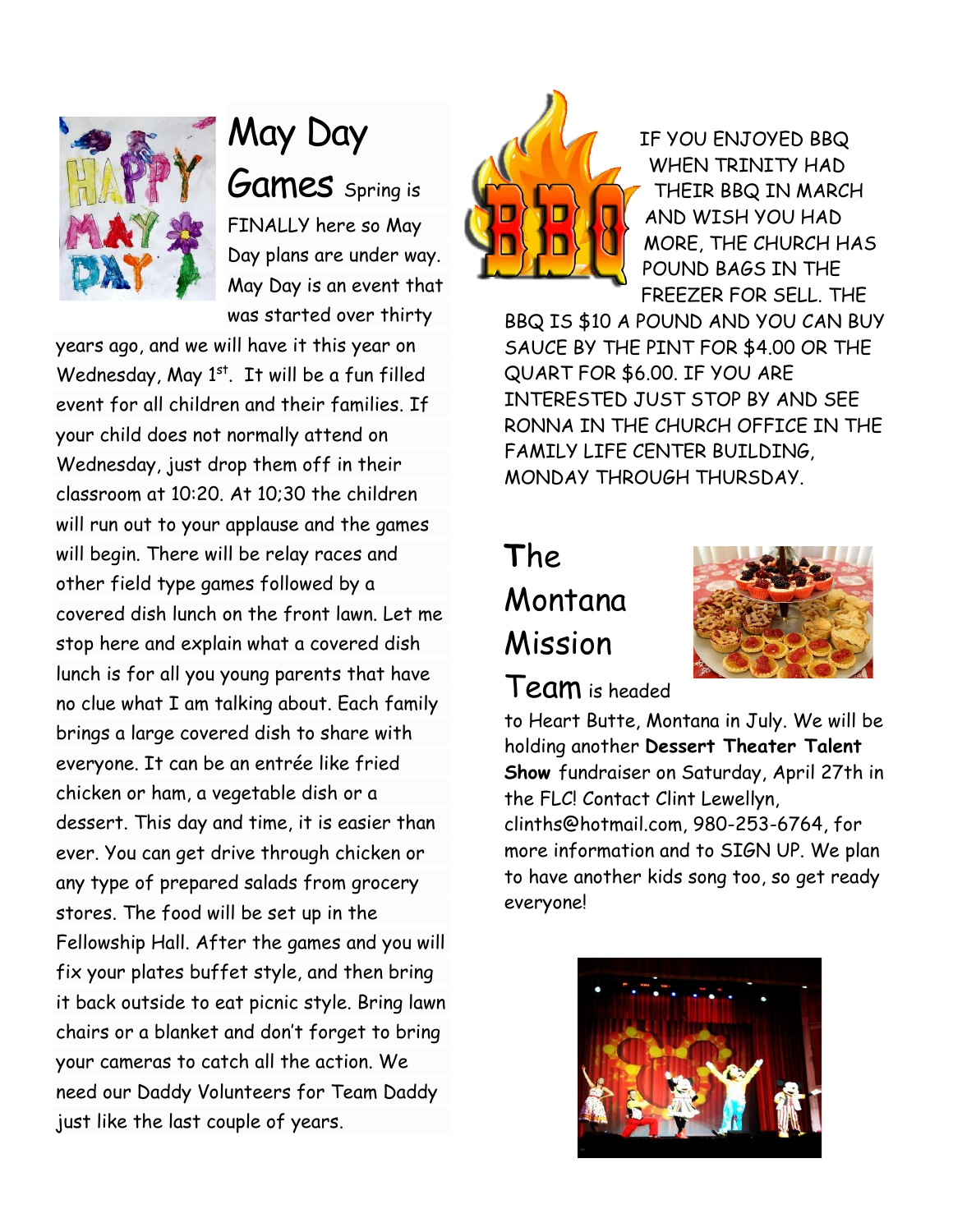

May Day Games spring is FINALLY here so May Day plans are under way. May Day is an event that was started over thirty

years ago, and we will have it this year on Wednesday, May 1st. It will be a fun filled event for all children and their families. If your child does not normally attend on Wednesday, just drop them off in their classroom at 10:20. At 10;30 the children will run out to your applause and the games will begin. There will be relay races and other field type games followed by a covered dish lunch on the front lawn. Let me stop here and explain what a covered dish lunch is for all you young parents that have no clue what I am talking about. Each family brings a large covered dish to share with everyone. It can be an entrée like fried chicken or ham, a vegetable dish or a dessert. This day and time, it is easier than ever. You can get drive through chicken or any type of prepared salads from grocery stores. The food will be set up in the Fellowship Hall. After the games and you will fix your plates buffet style, and then bring it back outside to eat picnic style. Bring lawn chairs or a blanket and don't forget to bring your cameras to catch all the action. We need our Daddy Volunteers for Team Daddy just like the last couple of years.



IF YOU ENJOYED BBQ WHEN TRINITY HAD THEIR BBQ IN MARCH AND WISH YOU HAD MORE, THE CHURCH HAS POUND BAGS IN THE FREEZER FOR SELL. THE

BBQ IS \$10 A POUND AND YOU CAN BUY SAUCE BY THE PINT FOR \$4.00 OR THE QUART FOR \$6.00. IF YOU ARE INTERESTED JUST STOP BY AND SEE RONNA IN THE CHURCH OFFICE IN THE FAMILY LIFE CENTER BUILDING, MONDAY THROUGH THURSDAY.

# **T**he Montana Mission



## Team is headed

to Heart Butte, Montana in July. We will be holding another **Dessert Theater Talent Show** fundraiser on Saturday, April 27th in the FLC! Contact Clint Lewellyn, clinths@hotmail.com, 980-253-6764, for more information and to SIGN UP. We plan to have another kids song too, so get ready everyone!

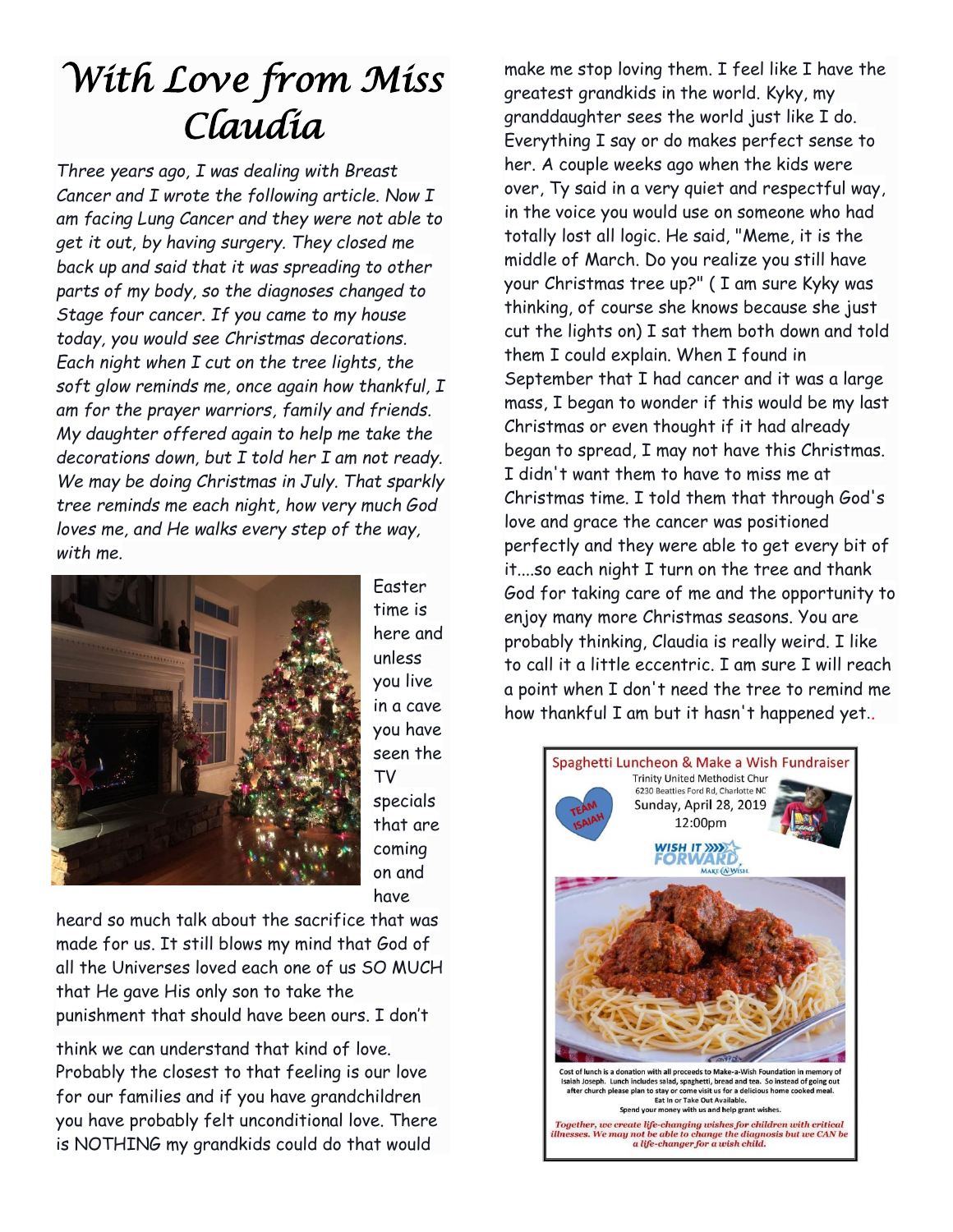# *With Love from Miss Claudia*

*Three years ago, I was dealing with Breast Cancer and I wrote the following article. Now I am facing Lung Cancer and they were not able to get it out, by having surgery. They closed me back up and said that it was spreading to other parts of my body, so the diagnoses changed to Stage four cancer. If you came to my house today, you would see Christmas decorations. Each night when I cut on the tree lights, the soft glow reminds me, once again how thankful, I am for the prayer warriors, family and friends. My daughter offered again to help me take the decorations down, but I told her I am not ready. We may be doing Christmas in July. That sparkly tree reminds me each night, how very much God loves me, and He walks every step of the way, with me.* 



Easter time is here and unless you live in a cave you have seen the TV specials that are coming on and have

heard so much talk about the sacrifice that was made for us. It still blows my mind that God of all the Universes loved each one of us SO MUCH that He gave His only son to take the punishment that should have been ours. I don't

think we can understand that kind of love. Probably the closest to that feeling is our love for our families and if you have grandchildren you have probably felt unconditional love. There is NOTHING my grandkids could do that would

make me stop loving them. I feel like I have the greatest grandkids in the world. Kyky, my granddaughter sees the world just like I do. Everything I say or do makes perfect sense to her. A couple weeks ago when the kids were over, Ty said in a very quiet and respectful way, in the voice you would use on someone who had totally lost all logic. He said, "Meme, it is the middle of March. Do you realize you still have your Christmas tree up?" ( I am sure Kyky was thinking, of course she knows because she just cut the lights on) I sat them both down and told them I could explain. When I found in September that I had cancer and it was a large mass, I began to wonder if this would be my last Christmas or even thought if it had already began to spread, I may not have this Christmas. I didn't want them to have to miss me at Christmas time. I told them that through God's love and grace the cancer was positioned perfectly and they were able to get every bit of it....so each night I turn on the tree and thank God for taking care of me and the opportunity to enjoy many more Christmas seasons. You are probably thinking, Claudia is really weird. I like to call it a little eccentric. I am sure I will reach a point when I don't need the tree to remind me how thankful I am but it hasn't happened yet..

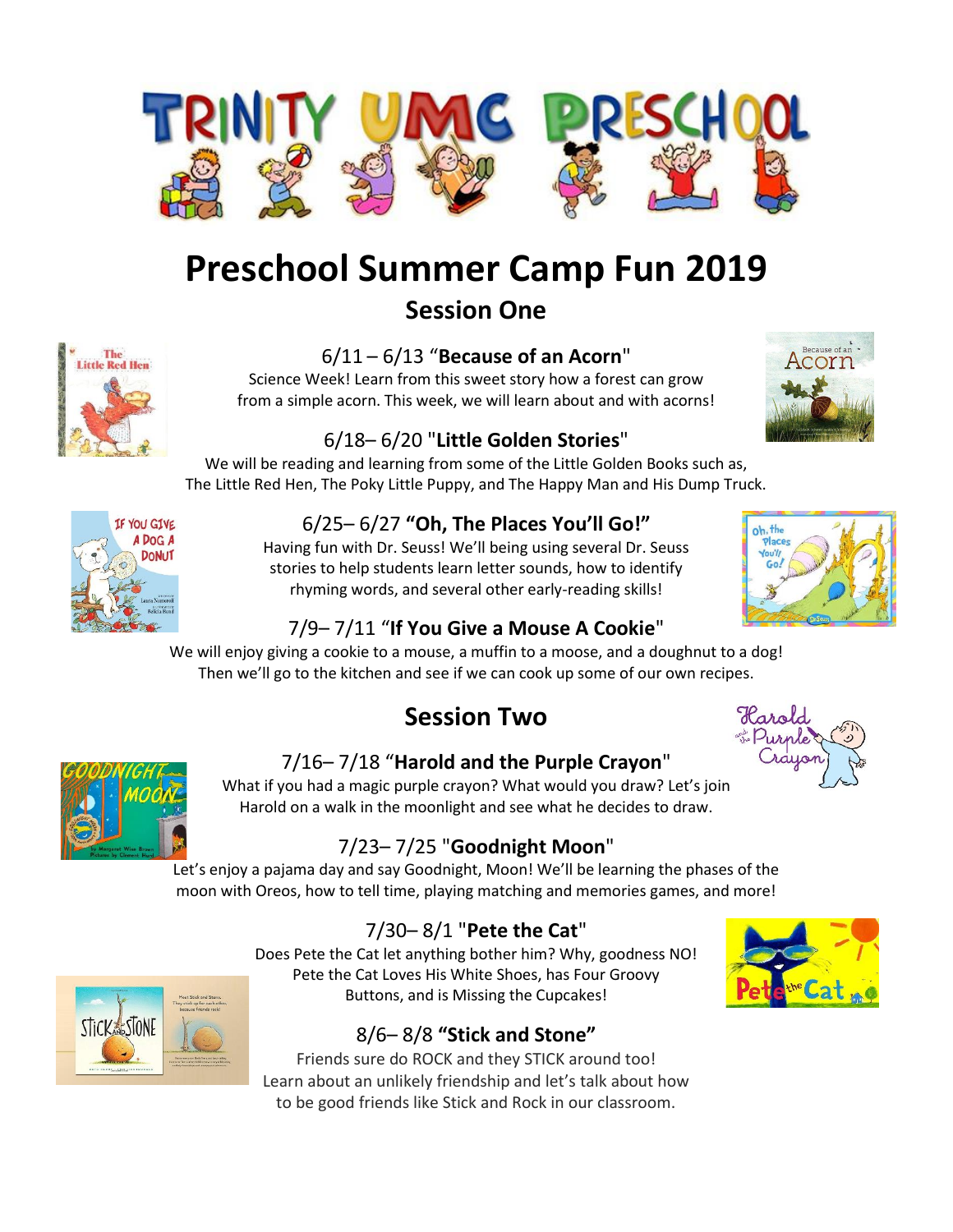

# **Preschool Summer Camp Fun 2019**

## **Session One**



### 6/11 – 6/13 "**Because of an Acorn**"

Science Week! Learn from this sweet story how a forest can grow from a simple acorn. This week, we will learn about and with acorns!



## 6/18– 6/20 "**Little Golden Stories**"

We will be reading and learning from some of the Little Golden Books such as, The Little Red Hen, The Poky Little Puppy, and The Happy Man and His Dump Truck.



## 6/25– 6/27 **"Oh, The Places You'll Go!"**

Having fun with Dr. Seuss! We'll being using several Dr. Seuss stories to help students learn letter sounds, how to identify rhyming words, and several other early-reading skills!



## 7/9– 7/11 "**If You Give a Mouse A Cookie**"

We will enjoy giving a cookie to a mouse, a muffin to a moose, and a doughnut to a dog! Then we'll go to the kitchen and see if we can cook up some of our own recipes.

## **Session Two**





### 7/16– 7/18 "**Harold and the Purple Crayon**"

What if you had a magic purple crayon? What would you draw? Let's join Harold on a walk in the moonlight and see what he decides to draw.

## 7/23– 7/25 "**Goodnight Moon**"

Let's enjoy a pajama day and say Goodnight, Moon! We'll be learning the phases of the moon with Oreos, how to tell time, playing matching and memories games, and more!

## 7/30– 8/1 "**Pete the Cat**"

Does Pete the Cat let anything bother him? Why, goodness NO! Pete the Cat Loves His White Shoes, has Four Groovy Buttons, and is Missing the Cupcakes!

## 8/6– 8/8 **"Stick and Stone"**

Friends sure do ROCK and they STICK around too! Learn about an unlikely friendship and let's talk about how to be good friends like Stick and Rock in our classroom.



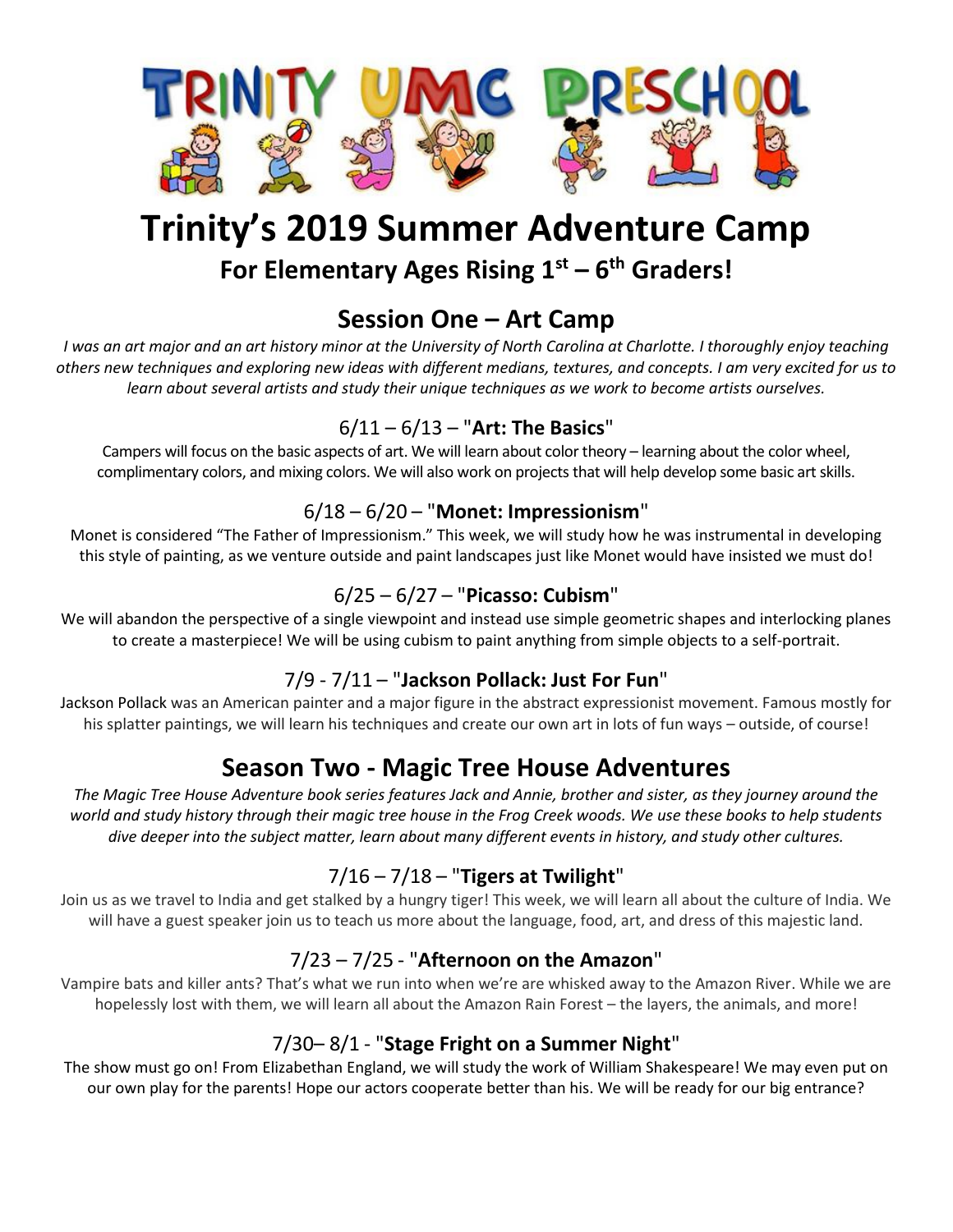

## **Trinity's 2019 Summer Adventure Camp For Elementary Ages Rising 1st – 6 th Graders!**

## **Session One – Art Camp**

*I was an art major and an art history minor at the University of North Carolina at Charlotte. I thoroughly enjoy teaching others new techniques and exploring new ideas with different medians, textures, and concepts. I am very excited for us to learn about several artists and study their unique techniques as we work to become artists ourselves.*

### 6/11 – 6/13 – "**Art: The Basics**"

Campers will focus on the basic aspects of art. We will learn about color theory – learning about the color wheel, complimentary colors, and mixing colors. We will also work on projects that will help develop some basic art skills.

#### 6/18 – 6/20 – "**Monet: Impressionism**"

Monet is considered "The Father of Impressionism." This week, we will study how he was instrumental in developing this style of painting, as we venture outside and paint landscapes just like Monet would have insisted we must do!

#### 6/25 – 6/27 – "**Picasso: Cubism**"

We will abandon the perspective of a single viewpoint and instead use simple geometric shapes and interlocking planes to create a masterpiece! We will be using cubism to paint anything from simple objects to a self-portrait.

#### 7/9 - 7/11 – "**Jackson Pollack: Just For Fun**"

Jackson Pollack was an American painter and a major figure in the abstract expressionist movement. Famous mostly for his splatter paintings, we will learn his techniques and create our own art in lots of fun ways – outside, of course!

## **Season Two - Magic Tree House Adventures**

*The Magic Tree House Adventure book series features Jack and Annie, brother and sister, as they journey around the world and study history through their magic tree house in the Frog Creek woods. We use these books to help students dive deeper into the subject matter, learn about many different events in history, and study other cultures.*

### 7/16 – 7/18 – "**Tigers at Twilight**"

Join us as we travel to India and get stalked by a hungry tiger! This week, we will learn all about the culture of India. We will have a guest speaker join us to teach us more about the language, food, art, and dress of this majestic land.

### 7/23 – 7/25 - "**Afternoon on the Amazon**"

Vampire bats and killer ants? That's what we run into when we're are whisked away to the Amazon River. While we are hopelessly lost with them, we will learn all about the Amazon Rain Forest – the layers, the animals, and more!

#### 7/30– 8/1 - "**Stage Fright on a Summer Night**"

The show must go on! From Elizabethan England, we will study the work of William Shakespeare! We may even put on our own play for the parents! Hope our actors cooperate better than his. We will be ready for our big entrance?